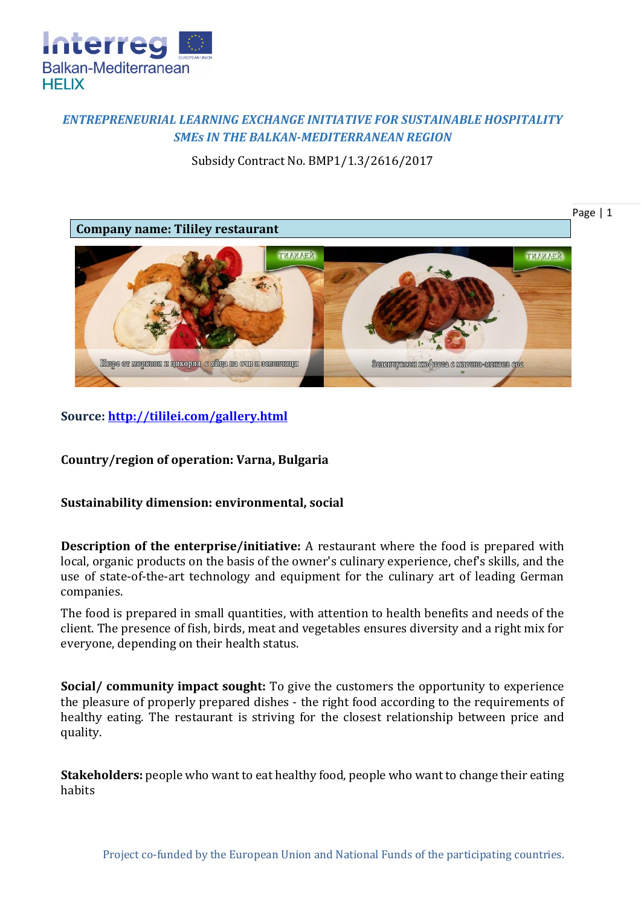

## *ENTREPRENEURIAL LEARNING EXCHANGE INITIATIVE FOR SUSTAINABLE HOSPITALITY SMEs IN THE BALKAN-MEDITERRANEAN REGION*

Subsidy Contract No. BMP1/1.3/2616/2017



## **Source:<http://tililei.com/gallery.html>**

**Country/region of operation: Varna, Bulgaria**

## **Sustainability dimension: environmental, social**

**Description of the enterprise/initiative:** A restaurant where the food is prepared with local, organic products on the basis of the owner's culinary experience, chef's skills, and the use of state-of-the-art technology and equipment for the culinary art of leading German companies.

The food is prepared in small quantities, with attention to health benefits and needs of the client. The presence of fish, birds, meat and vegetables ensures diversity and a right mix for everyone, depending on their health status.

**Social/ community impact sought:** To give the customers the opportunity to experience the pleasure of properly prepared dishes - the right food according to the requirements of healthy eating. The restaurant is striving for the closest relationship between price and quality.

**Stakeholders:** people who want to eat healthy food, people who want to change their eating habits